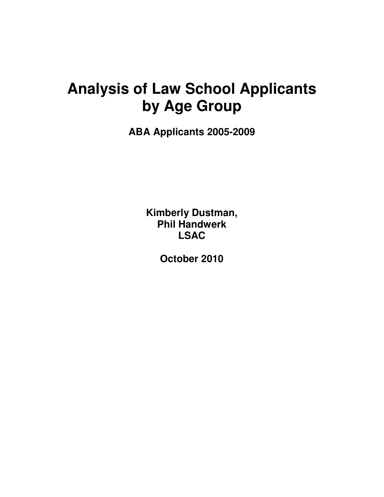## **Analysis of Law School Applicants by Age Group**

**ABA Applicants 2005-2009** 

**Kimberly Dustman, Phil Handwerk LSAC** 

**October 2010**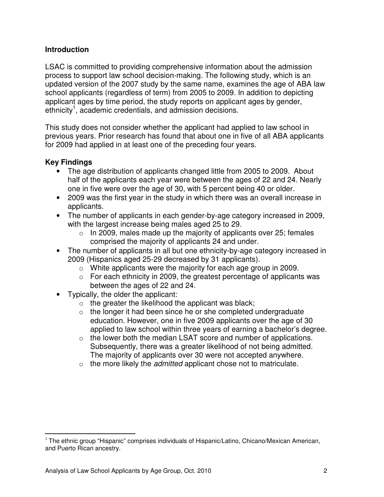## **Introduction**

LSAC is committed to providing comprehensive information about the admission process to support law school decision-making. The following study, which is an updated version of the 2007 study by the same name, examines the age of ABA law school applicants (regardless of term) from 2005 to 2009. In addition to depicting applicant ages by time period, the study reports on applicant ages by gender, ethnicity<sup>1</sup>, academic credentials, and admission decisions.

This study does not consider whether the applicant had applied to law school in previous years. Prior research has found that about one in five of all ABA applicants for 2009 had applied in at least one of the preceding four years.

## **Key Findings**

 $\overline{a}$ 

- The age distribution of applicants changed little from 2005 to 2009. About half of the applicants each year were between the ages of 22 and 24. Nearly one in five were over the age of 30, with 5 percent being 40 or older.
- 2009 was the first year in the study in which there was an overall increase in applicants.
- The number of applicants in each gender-by-age category increased in 2009, with the largest increase being males aged 25 to 29.
	- $\circ$  In 2009, males made up the majority of applicants over 25; females comprised the majority of applicants 24 and under.
- The number of applicants in all but one ethnicity-by-age category increased in 2009 (Hispanics aged 25-29 decreased by 31 applicants).
	- o White applicants were the majority for each age group in 2009.
	- $\circ$  For each ethnicity in 2009, the greatest percentage of applicants was between the ages of 22 and 24.
- Typically, the older the applicant:
	- $\circ$  the greater the likelihood the applicant was black;
	- $\circ$  the longer it had been since he or she completed undergraduate education. However, one in five 2009 applicants over the age of 30 applied to law school within three years of earning a bachelor's degree.
	- $\circ$  the lower both the median LSAT score and number of applications. Subsequently, there was a greater likelihood of not being admitted. The majority of applicants over 30 were not accepted anywhere.
	- $\circ$  the more likely the *admitted* applicant chose not to matriculate.

 $1$  The ethnic group "Hispanic" comprises individuals of Hispanic/Latino, Chicano/Mexican American, and Puerto Rican ancestry.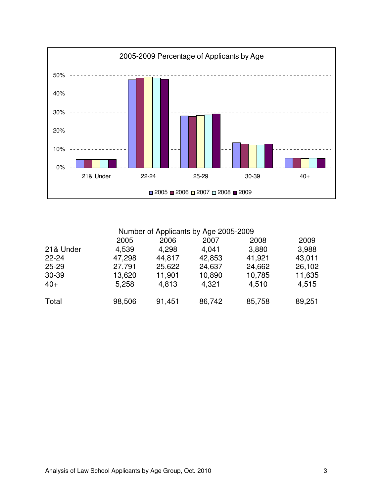

Number of Applicants by Age 2005-2009

|           |        |        | - - 20 - |        |        |  |
|-----------|--------|--------|----------|--------|--------|--|
|           | 2005   | 2006   | 2007     | 2008   | 2009   |  |
| 21& Under | 4,539  | 4,298  | 4,041    | 3,880  | 3,988  |  |
| $22 - 24$ | 47,298 | 44,817 | 42,853   | 41,921 | 43,011 |  |
| $25 - 29$ | 27,791 | 25,622 | 24,637   | 24,662 | 26,102 |  |
| $30 - 39$ | 13,620 | 11,901 | 10,890   | 10,785 | 11,635 |  |
| $40+$     | 5,258  | 4,813  | 4,321    | 4,510  | 4,515  |  |
|           |        |        |          |        |        |  |
| Total     | 98,506 | 91,451 | 86,742   | 85,758 | 89,251 |  |
|           |        |        |          |        |        |  |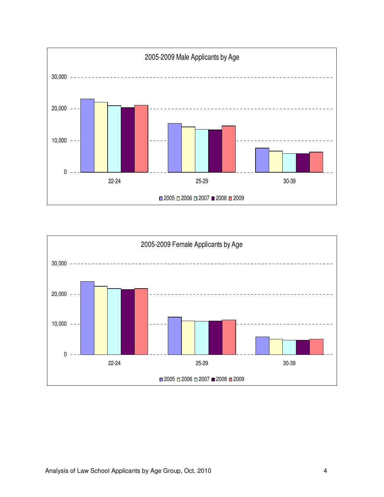

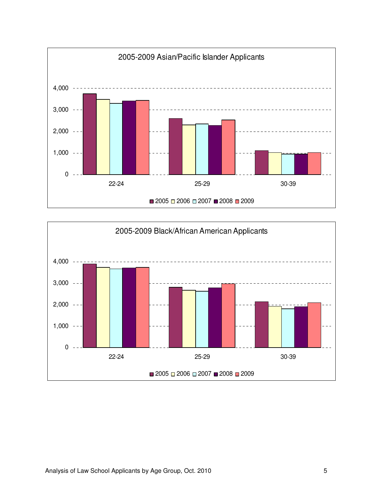

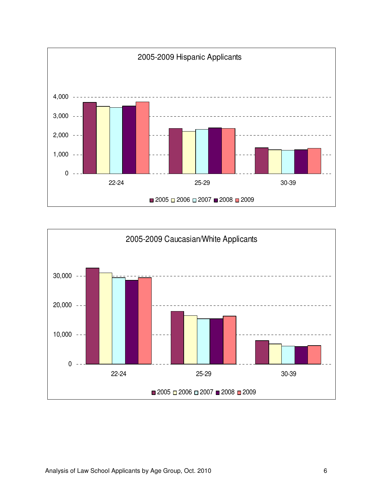

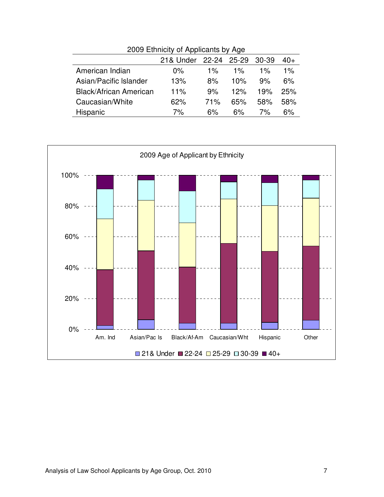| 2009 Liminuty of Applicants by Age |       |       |             |         |  |
|------------------------------------|-------|-------|-------------|---------|--|
| 21& Under                          |       |       |             | $40+$   |  |
| $0\%$                              | $1\%$ | $1\%$ | $1\%$       | $1\%$   |  |
| 13%                                | 8%    | 10%   | 9%          | 6%      |  |
| 11%                                | 9%    | 12%   | 19%         | 25%     |  |
| 62%                                | 71%   | 65%   | .58%        | 58%     |  |
| 7%                                 | 6%    | 6%    | 7%          | 6%      |  |
|                                    |       |       | 22-24 25-29 | - 30-39 |  |



2009 Ethnicity of Applicants by Age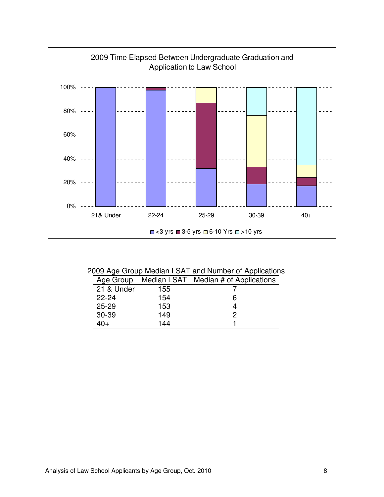

## 2009 Age Group Median LSAT and Number of Applications

| Age Group  |     | Median LSAT Median # of Applications |
|------------|-----|--------------------------------------|
| 21 & Under | 155 |                                      |
| $22 - 24$  | 154 | 6                                    |
| $25 - 29$  | 153 |                                      |
| 30-39      | 149 | 2                                    |
| $40+$      | 144 |                                      |